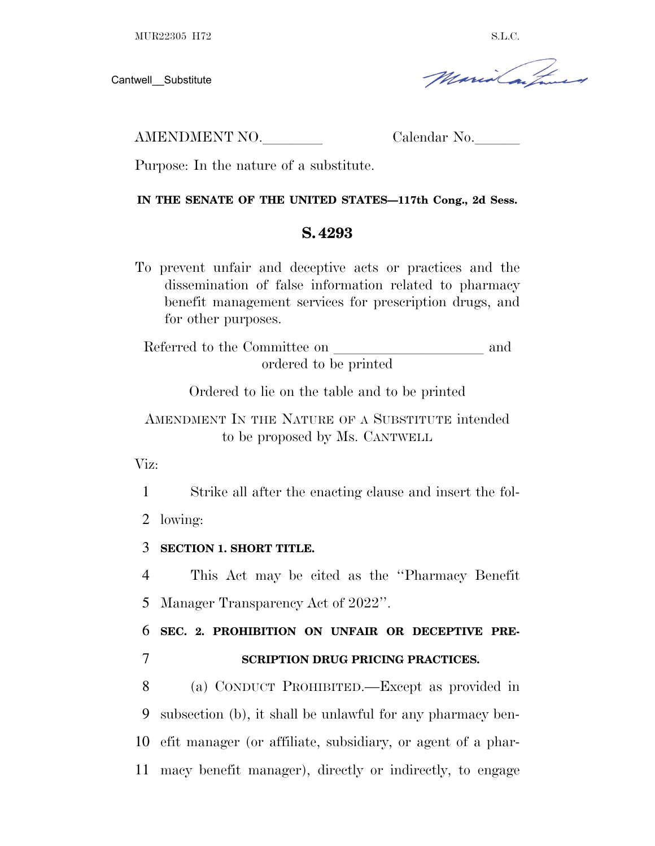Cantwell\_\_Substitute

Maria Caip

AMENDMENT NO. Calendar No.

Purpose: In the nature of a substitute.

### **IN THE SENATE OF THE UNITED STATES—117th Cong., 2d Sess.**

# **S. 4293**

To prevent unfair and deceptive acts or practices and the dissemination of false information related to pharmacy benefit management services for prescription drugs, and for other purposes.

Referred to the Committee on and ordered to be printed

Ordered to lie on the table and to be printed

AMENDMENT IN THE NATURE OF A SUBSTITUTE intended to be proposed by Ms. CANTWELL

Viz:

1 Strike all after the enacting clause and insert the fol-

2 lowing:

3 **SECTION 1. SHORT TITLE.**

4 This Act may be cited as the ''Pharmacy Benefit 5 Manager Transparency Act of 2022''.

6 **SEC. 2. PROHIBITION ON UNFAIR OR DECEPTIVE PRE-**7 **SCRIPTION DRUG PRICING PRACTICES.**

 (a) CONDUCT PROHIBITED.—Except as provided in subsection (b), it shall be unlawful for any pharmacy ben- efit manager (or affiliate, subsidiary, or agent of a phar-macy benefit manager), directly or indirectly, to engage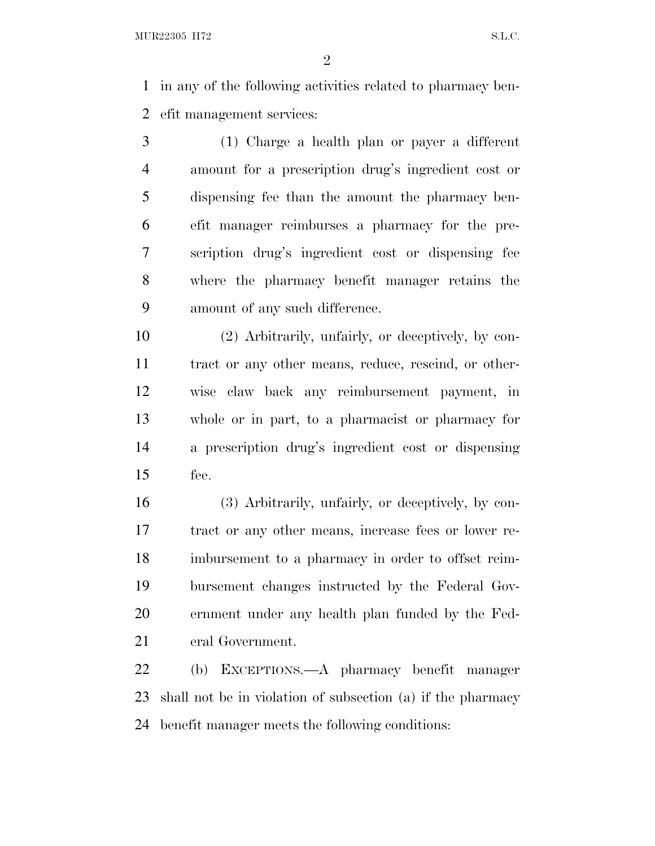in any of the following activities related to pharmacy ben-efit management services:

 (1) Charge a health plan or payer a different amount for a prescription drug's ingredient cost or dispensing fee than the amount the pharmacy ben- efit manager reimburses a pharmacy for the pre- scription drug's ingredient cost or dispensing fee where the pharmacy benefit manager retains the amount of any such difference.

 (2) Arbitrarily, unfairly, or deceptively, by con- tract or any other means, reduce, rescind, or other- wise claw back any reimbursement payment, in whole or in part, to a pharmacist or pharmacy for a prescription drug's ingredient cost or dispensing fee.

 (3) Arbitrarily, unfairly, or deceptively, by con- tract or any other means, increase fees or lower re- imbursement to a pharmacy in order to offset reim- bursement changes instructed by the Federal Gov- ernment under any health plan funded by the Fed-eral Government.

 (b) EXCEPTIONS.—A pharmacy benefit manager shall not be in violation of subsection (a) if the pharmacy benefit manager meets the following conditions: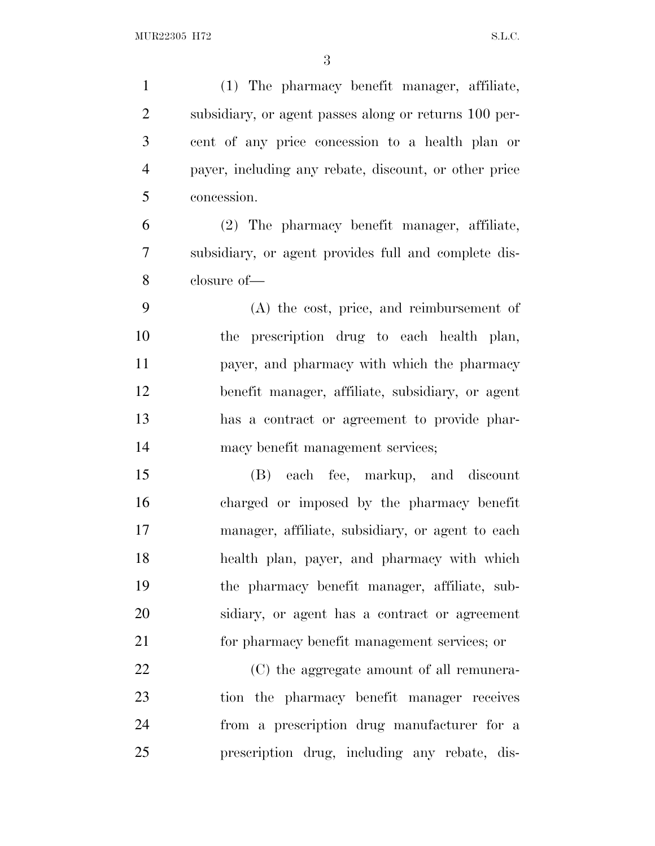(1) The pharmacy benefit manager, affiliate, subsidiary, or agent passes along or returns 100 per- cent of any price concession to a health plan or payer, including any rebate, discount, or other price concession. (2) The pharmacy benefit manager, affiliate, subsidiary, or agent provides full and complete dis- closure of— (A) the cost, price, and reimbursement of the prescription drug to each health plan, payer, and pharmacy with which the pharmacy benefit manager, affiliate, subsidiary, or agent has a contract or agreement to provide phar- macy benefit management services; (B) each fee, markup, and discount charged or imposed by the pharmacy benefit manager, affiliate, subsidiary, or agent to each health plan, payer, and pharmacy with which the pharmacy benefit manager, affiliate, sub- sidiary, or agent has a contract or agreement for pharmacy benefit management services; or (C) the aggregate amount of all remunera- tion the pharmacy benefit manager receives from a prescription drug manufacturer for a prescription drug, including any rebate, dis-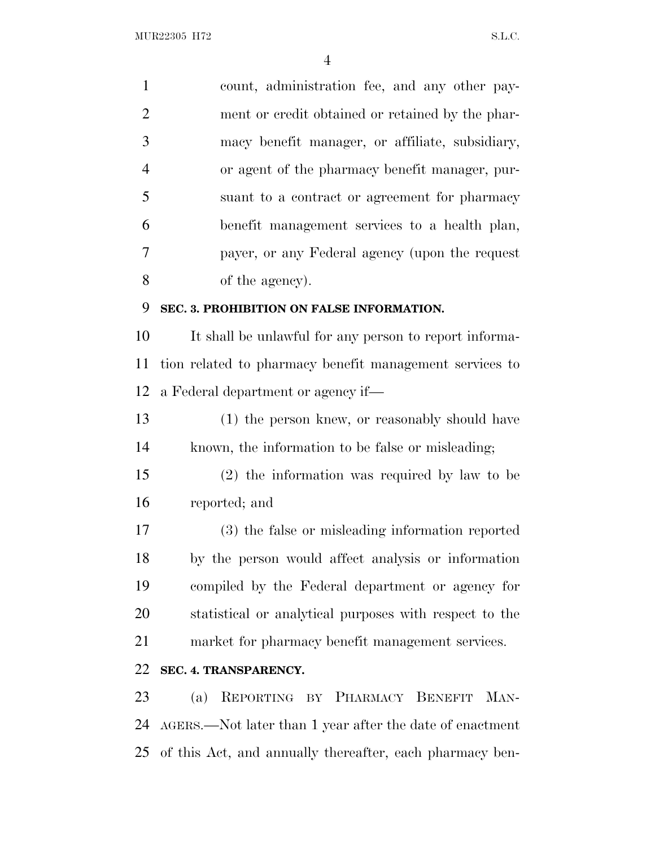| $\mathbf{1}$   | count, administration fee, and any other pay-            |  |
|----------------|----------------------------------------------------------|--|
| $\overline{2}$ | ment or credit obtained or retained by the phar-         |  |
| $\mathfrak{Z}$ | macy benefit manager, or affiliate, subsidiary,          |  |
| $\overline{4}$ | or agent of the pharmacy benefit manager, pur-           |  |
| 5              | suant to a contract or agreement for pharmacy            |  |
| 6              | benefit management services to a health plan,            |  |
| 7              | payer, or any Federal agency (upon the request           |  |
| 8              | of the agency).                                          |  |
| 9              | SEC. 3. PROHIBITION ON FALSE INFORMATION.                |  |
| 10             | It shall be unlawful for any person to report informa-   |  |
| 11             | tion related to pharmacy benefit management services to  |  |
| 12             | a Federal department or agency if—                       |  |
| 13             | (1) the person knew, or reasonably should have           |  |
| 14             | known, the information to be false or misleading;        |  |
| 15             | $(2)$ the information was required by law to be          |  |
| 16             | reported; and                                            |  |
| 17             | (3) the false or misleading information reported         |  |
| 18             | by the person would affect analysis or information       |  |
| 19             | compiled by the Federal department or agency for         |  |
| 20             | statistical or analytical purposes with respect to the   |  |
| 21             | market for pharmacy benefit management services.         |  |
| 22             | SEC. 4. TRANSPARENCY.                                    |  |
| 23             | REPORTING BY PHARMACY BENEFIT MAN-<br>(a)                |  |
| 24             | AGERS.—Not later than 1 year after the date of enactment |  |
| 25             | of this Act, and annually thereafter, each pharmacy ben- |  |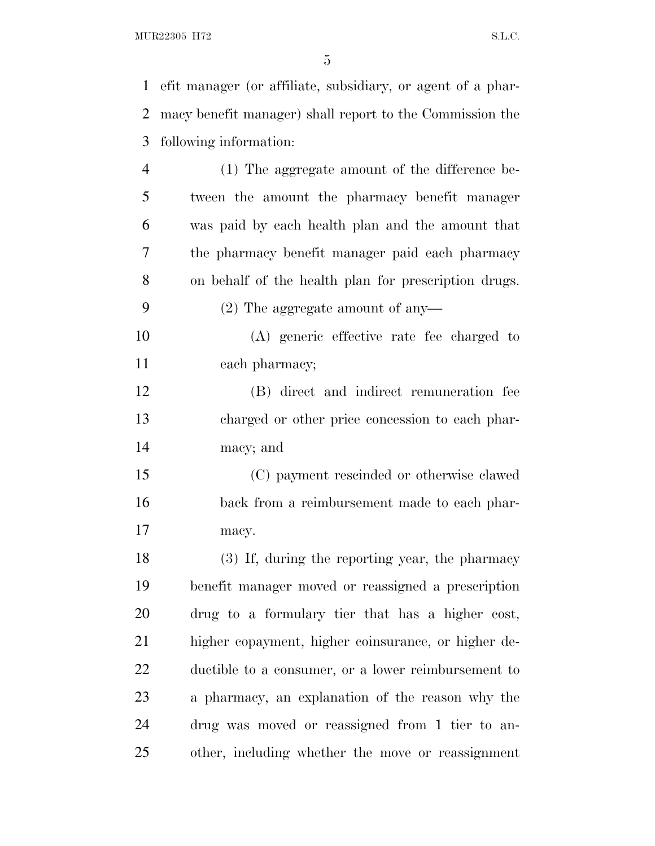| $\mathbf{1}$   | efit manager (or affiliate, subsidiary, or agent of a phar- |  |
|----------------|-------------------------------------------------------------|--|
| $\overline{2}$ | macy benefit manager) shall report to the Commission the    |  |
| 3              | following information:                                      |  |
| $\overline{4}$ | (1) The aggregate amount of the difference be-              |  |
| 5              | tween the amount the pharmacy benefit manager               |  |
| 6              | was paid by each health plan and the amount that            |  |
| 7              | the pharmacy benefit manager paid each pharmacy             |  |
| 8              | on behalf of the health plan for prescription drugs.        |  |
| 9              | $(2)$ The aggregate amount of any-                          |  |
| 10             | (A) generic effective rate fee charged to                   |  |
| 11             | each pharmacy;                                              |  |
| 12             | (B) direct and indirect remuneration fee                    |  |
| 13             | charged or other price concession to each phar-             |  |
| 14             | macy; and                                                   |  |
| 15             | (C) payment rescinded or otherwise clawed                   |  |
| 16             | back from a reimbursement made to each phar-                |  |
| 17             | macy.                                                       |  |
| 18             | (3) If, during the reporting year, the pharmacy             |  |
| 19             | benefit manager moved or reassigned a prescription          |  |
| 20             | drug to a formulary tier that has a higher cost,            |  |
| 21             | higher copayment, higher coinsurance, or higher de-         |  |
| 22             | ductible to a consumer, or a lower reimbursement to         |  |
| 23             | a pharmacy, an explanation of the reason why the            |  |
| 24             | drug was moved or reassigned from 1 tier to an-             |  |
| 25             | other, including whether the move or reassignment           |  |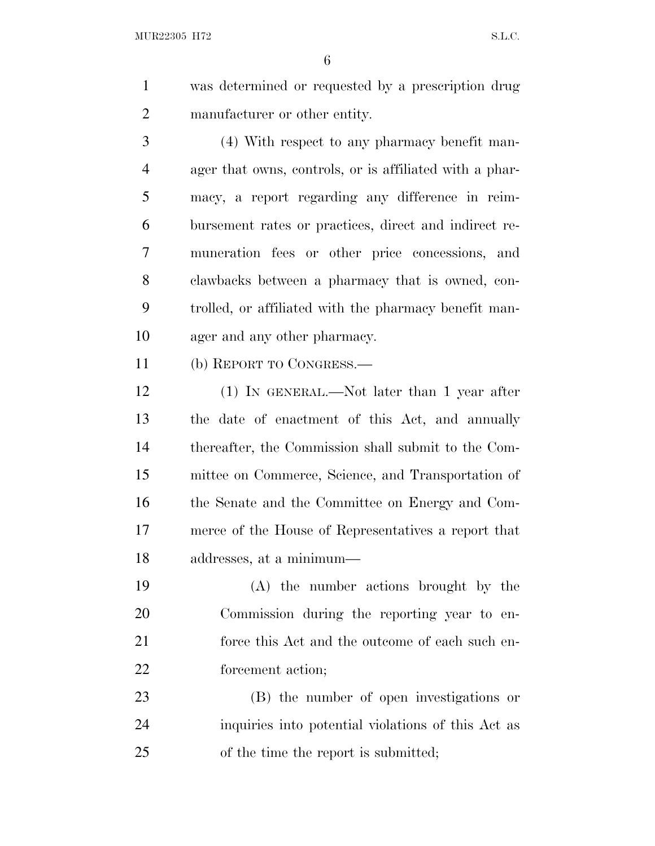was determined or requested by a prescription drug manufacturer or other entity.

 (4) With respect to any pharmacy benefit man- ager that owns, controls, or is affiliated with a phar- macy, a report regarding any difference in reim- bursement rates or practices, direct and indirect re- muneration fees or other price concessions, and clawbacks between a pharmacy that is owned, con- trolled, or affiliated with the pharmacy benefit man-ager and any other pharmacy.

(b) REPORT TO CONGRESS.—

 (1) IN GENERAL.—Not later than 1 year after the date of enactment of this Act, and annually thereafter, the Commission shall submit to the Com- mittee on Commerce, Science, and Transportation of the Senate and the Committee on Energy and Com- merce of the House of Representatives a report that addresses, at a minimum—

 (A) the number actions brought by the Commission during the reporting year to en-21 force this Act and the outcome of each such en-forcement action;

 (B) the number of open investigations or inquiries into potential violations of this Act as of the time the report is submitted;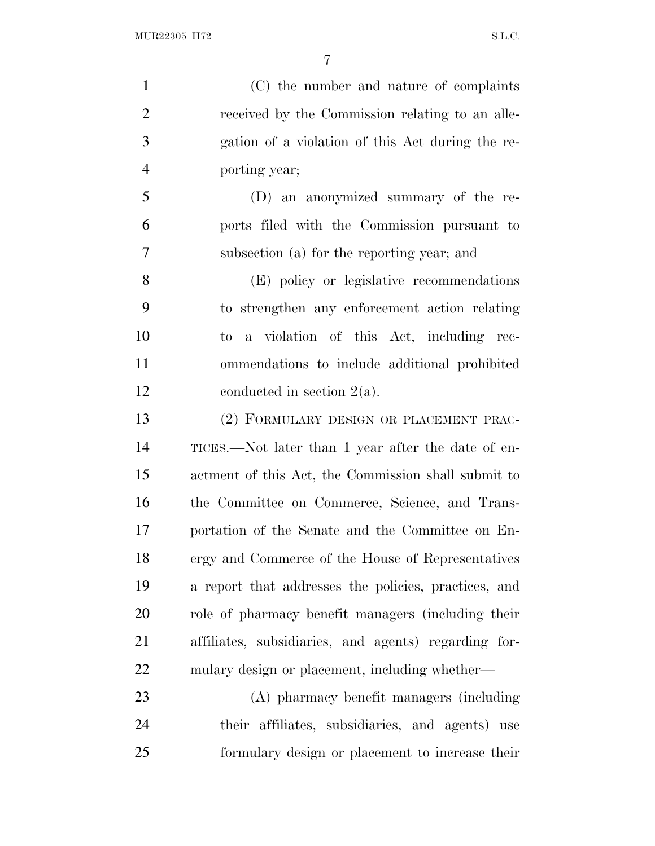(C) the number and nature of complaints received by the Commission relating to an alle- gation of a violation of this Act during the re-porting year;

 (D) an anonymized summary of the re- ports filed with the Commission pursuant to subsection (a) for the reporting year; and

 (E) policy or legislative recommendations to strengthen any enforcement action relating to a violation of this Act, including rec- ommendations to include additional prohibited conducted in section 2(a).

 (2) FORMULARY DESIGN OR PLACEMENT PRAC- TICES.—Not later than 1 year after the date of en- actment of this Act, the Commission shall submit to the Committee on Commerce, Science, and Trans- portation of the Senate and the Committee on En- ergy and Commerce of the House of Representatives a report that addresses the policies, practices, and role of pharmacy benefit managers (including their affiliates, subsidiaries, and agents) regarding for-mulary design or placement, including whether—

 (A) pharmacy benefit managers (including their affiliates, subsidiaries, and agents) use formulary design or placement to increase their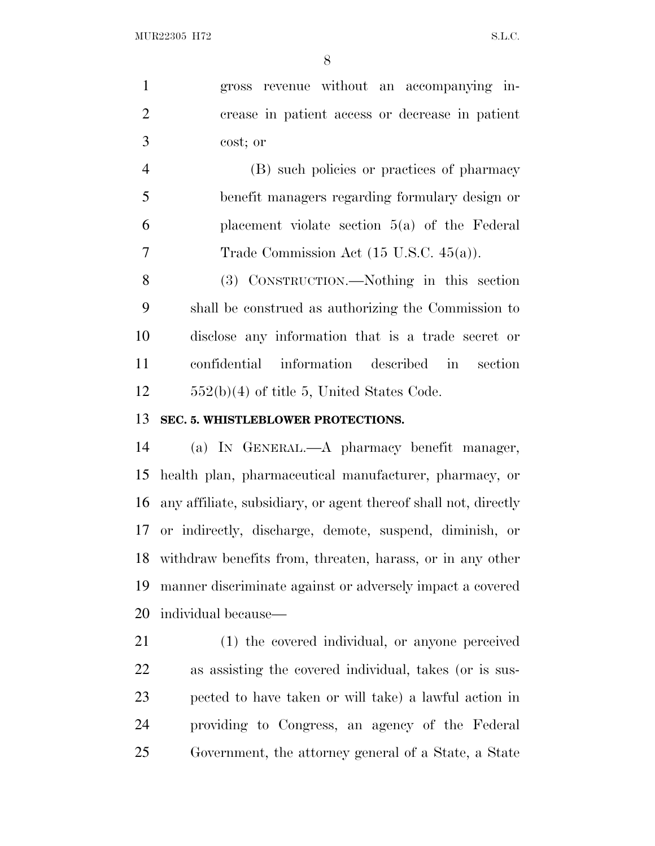gross revenue without an accompanying in- crease in patient access or decrease in patient cost; or

 (B) such policies or practices of pharmacy benefit managers regarding formulary design or placement violate section 5(a) of the Federal Trade Commission Act (15 U.S.C. 45(a)).

 (3) CONSTRUCTION.—Nothing in this section shall be construed as authorizing the Commission to disclose any information that is a trade secret or confidential information described in section 552(b)(4) of title 5, United States Code.

### **SEC. 5. WHISTLEBLOWER PROTECTIONS.**

 (a) I<sup>N</sup> GENERAL.—A pharmacy benefit manager, health plan, pharmaceutical manufacturer, pharmacy, or any affiliate, subsidiary, or agent thereof shall not, directly or indirectly, discharge, demote, suspend, diminish, or withdraw benefits from, threaten, harass, or in any other manner discriminate against or adversely impact a covered individual because—

 (1) the covered individual, or anyone perceived as assisting the covered individual, takes (or is sus- pected to have taken or will take) a lawful action in providing to Congress, an agency of the Federal Government, the attorney general of a State, a State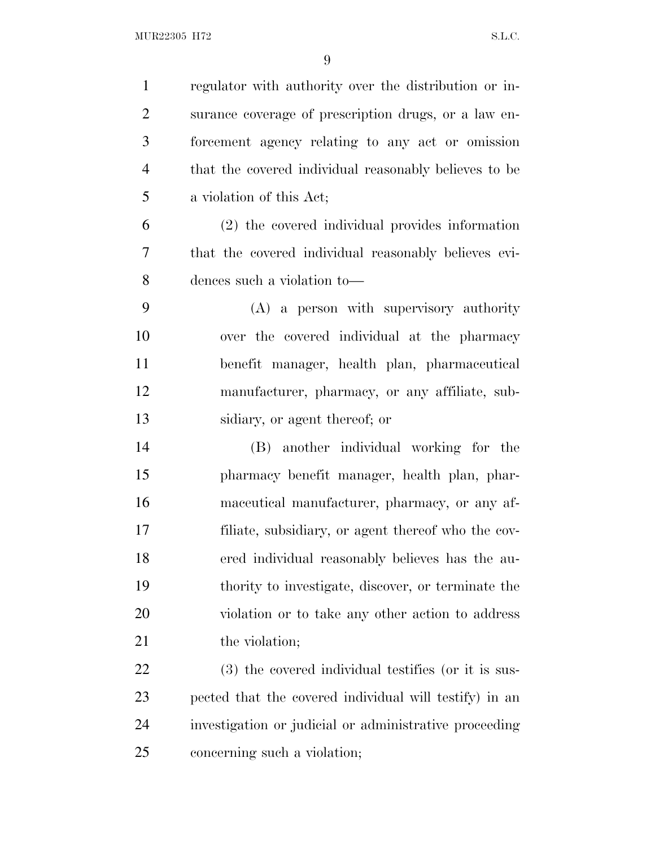| $\mathbf{1}$   | regulator with authority over the distribution or in-  |
|----------------|--------------------------------------------------------|
| $\overline{2}$ | surance coverage of prescription drugs, or a law en-   |
| 3              | forcement agency relating to any act or omission       |
| $\overline{4}$ | that the covered individual reasonably believes to be  |
| 5              | a violation of this Act;                               |
| 6              | (2) the covered individual provides information        |
| 7              | that the covered individual reasonably believes evi-   |
| 8              | dences such a violation to-                            |
| 9              | (A) a person with supervisory authority                |
| 10             | over the covered individual at the pharmacy            |
| 11             | benefit manager, health plan, pharmaceutical           |
| 12             | manufacturer, pharmacy, or any affiliate, sub-         |
| 13             | sidiary, or agent thereof; or                          |
| 14             | (B) another individual working for the                 |
| 15             | pharmacy benefit manager, health plan, phar-           |
| 16             | maceutical manufacturer, pharmacy, or any af-          |
| 17             | filiate, subsidiary, or agent thereof who the cov-     |
| 18             | ered individual reasonably believes has the au-        |
| 19             | thority to investigate, discover, or terminate the     |
| 20             | violation or to take any other action to address       |
| 21             | the violation;                                         |
| <u>22</u>      | (3) the covered individual testifies (or it is sus-    |
| 23             | pected that the covered individual will testify) in an |
| 24             | investigation or judicial or administrative proceeding |
| 25             | concerning such a violation;                           |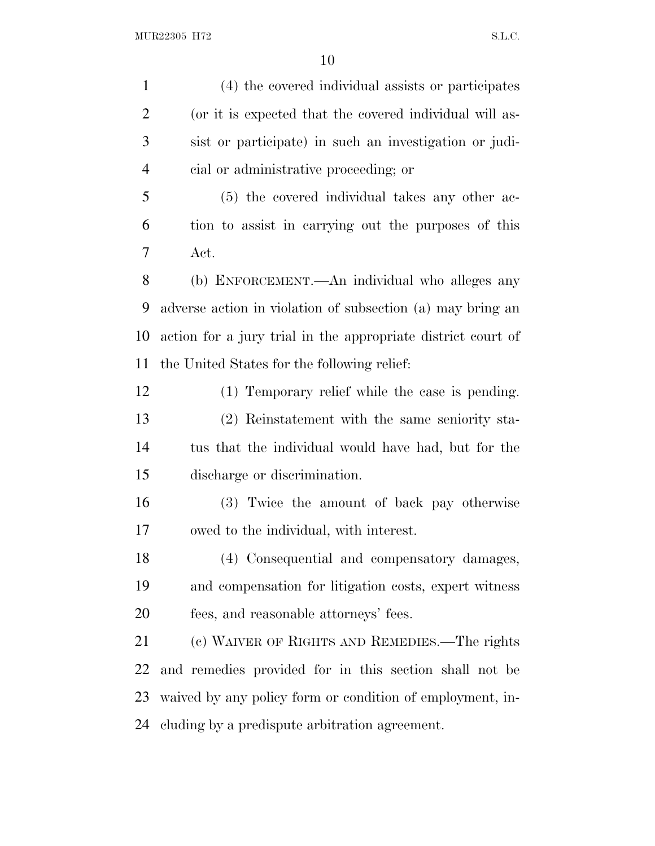| $\mathbf{1}$   | (4) the covered individual assists or participates           |  |
|----------------|--------------------------------------------------------------|--|
| $\overline{2}$ | (or it is expected that the covered individual will as-      |  |
| 3              | sist or participate) in such an investigation or judi-       |  |
| $\overline{4}$ | cial or administrative proceeding; or                        |  |
| 5              | (5) the covered individual takes any other ac-               |  |
| 6              | tion to assist in carrying out the purposes of this          |  |
| 7              | Act.                                                         |  |
| 8              | (b) ENFORCEMENT.—An individual who alleges any               |  |
| 9              | adverse action in violation of subsection (a) may bring an   |  |
| 10             | action for a jury trial in the appropriate district court of |  |
| 11             | the United States for the following relief.                  |  |
| 12             | (1) Temporary relief while the case is pending.              |  |
| 13             | (2) Reinstatement with the same seniority sta-               |  |
| 14             | tus that the individual would have had, but for the          |  |
| 15             | discharge or discrimination.                                 |  |
| 16             | (3) Twice the amount of back pay otherwise                   |  |
| 17             | owed to the individual, with interest.                       |  |
| 18             | (4) Consequential and compensatory damages,                  |  |
| 19             | and compensation for litigation costs, expert witness        |  |
| 20             | fees, and reasonable attorneys' fees.                        |  |
| 21             | (c) WAIVER OF RIGHTS AND REMEDIES.—The rights                |  |
| 22             | and remedies provided for in this section shall not be       |  |
| 23             | waived by any policy form or condition of employment, in-    |  |
| 24             | cluding by a predispute arbitration agreement.               |  |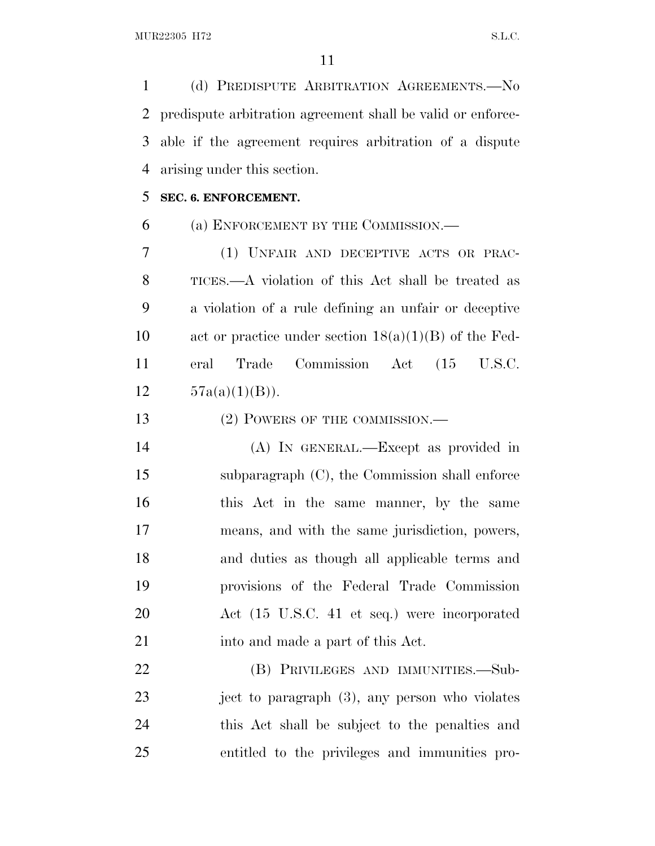(d) PREDISPUTE ARBITRATION AGREEMENTS.—No predispute arbitration agreement shall be valid or enforce- able if the agreement requires arbitration of a dispute arising under this section.

### **SEC. 6. ENFORCEMENT.**

# (a) ENFORCEMENT BY THE COMMISSION.—

 (1) UNFAIR AND DECEPTIVE ACTS OR PRAC- TICES.—A violation of this Act shall be treated as a violation of a rule defining an unfair or deceptive act or practice under section 18(a)(1)(B) of the Fed- eral Trade Commission Act (15 U.S.C.  $57a(a)(1)(B)$ .

13 (2) POWERS OF THE COMMISSION.—

 (A) IN GENERAL.—Except as provided in subparagraph (C), the Commission shall enforce 16 this Act in the same manner, by the same means, and with the same jurisdiction, powers, and duties as though all applicable terms and provisions of the Federal Trade Commission Act (15 U.S.C. 41 et seq.) were incorporated 21 into and made a part of this Act.

 (B) PRIVILEGES AND IMMUNITIES.—Sub- ject to paragraph (3), any person who violates this Act shall be subject to the penalties and entitled to the privileges and immunities pro-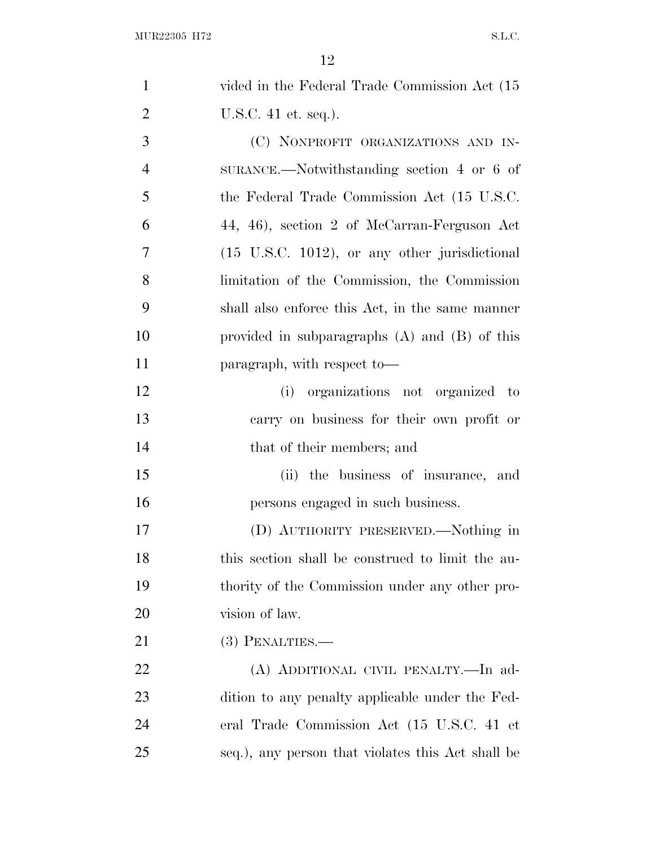| $\mathbf{1}$   | vided in the Federal Trade Commission Act (15)    |
|----------------|---------------------------------------------------|
| $\overline{2}$ | U.S.C. $41$ et. seq.).                            |
| 3              | (C) NONPROFIT ORGANIZATIONS AND IN-               |
| $\overline{4}$ | $SURANCE$ . Notwithstanding section 4 or 6 of     |
| 5              | the Federal Trade Commission Act (15 U.S.C.       |
| 6              | 44, 46), section 2 of McCarran-Ferguson Act       |
| 7              | (15 U.S.C. 1012), or any other jurisdictional     |
| 8              | limitation of the Commission, the Commission      |
| 9              | shall also enforce this Act, in the same manner   |
| 10             | provided in subparagraphs $(A)$ and $(B)$ of this |
| 11             | paragraph, with respect to-                       |
| 12             | (i) organizations not organized to                |
| 13             | carry on business for their own profit or         |
| 14             | that of their members; and                        |
| 15             | (ii) the business of insurance, and               |
| 16             | persons engaged in such business.                 |
| 17             | (D) AUTHORITY PRESERVED.—Nothing in               |
| 18             | this section shall be construed to limit the au-  |
| 19             | thority of the Commission under any other pro-    |
| 20             | vision of law.                                    |
| 21             | $(3)$ PENALTIES.—                                 |
| 22             | (A) ADDITIONAL CIVIL PENALTY.-In ad-              |
| 23             | dition to any penalty applicable under the Fed-   |
| 24             | eral Trade Commission Act (15 U.S.C. 41 et        |
| 25             | seq.), any person that violates this Act shall be |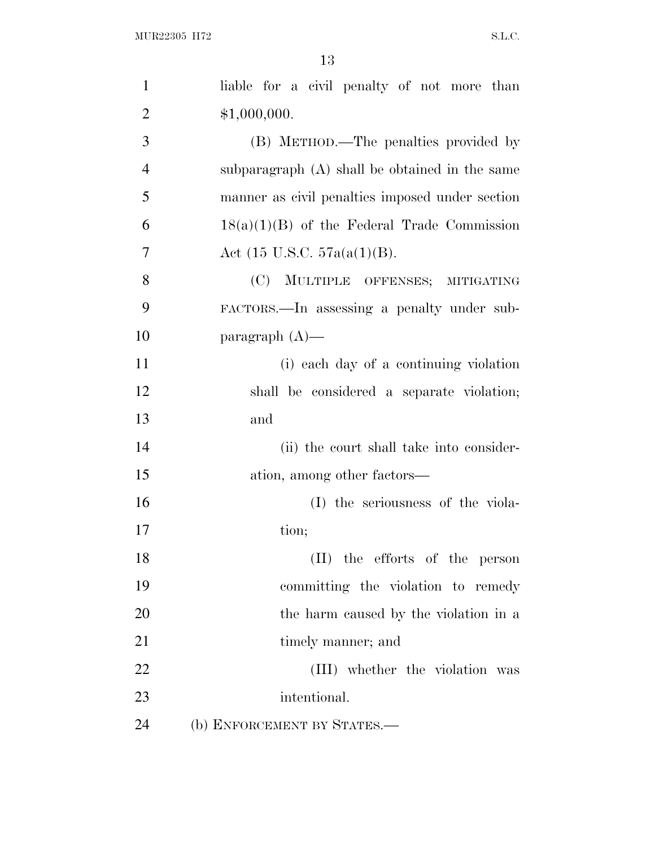| $\mathbf{1}$   | liable for a civil penalty of not more than     |
|----------------|-------------------------------------------------|
| $\overline{2}$ | \$1,000,000.                                    |
| 3              | (B) METHOD.—The penalties provided by           |
| $\overline{4}$ | subparagraph (A) shall be obtained in the same  |
| 5              | manner as civil penalties imposed under section |
| 6              | $18(a)(1)(B)$ of the Federal Trade Commission   |
| 7              | Act $(15 \text{ U.S.C. } 57a(a(1)(B)).$         |
| 8              | (C) MULTIPLE OFFENSES; MITIGATING               |
| 9              | FACTORS.—In assessing a penalty under sub-      |
| 10             | paragraph $(A)$ —                               |
| 11             | (i) each day of a continuing violation          |
| 12             | shall be considered a separate violation;       |
| 13             | and                                             |
| 14             | (ii) the court shall take into consider-        |
| 15             | ation, among other factors—                     |
| 16             | (I) the seriousness of the viola-               |
| 17             | tion;                                           |
| 18             | (II) the efforts of the person                  |
| 19             | committing the violation to remedy              |
| 20             | the harm caused by the violation in a           |
| 21             | timely manner; and                              |
| 22             | (III) whether the violation was                 |
| 23             | intentional.                                    |
| 24             | (b) ENFORCEMENT BY STATES.-                     |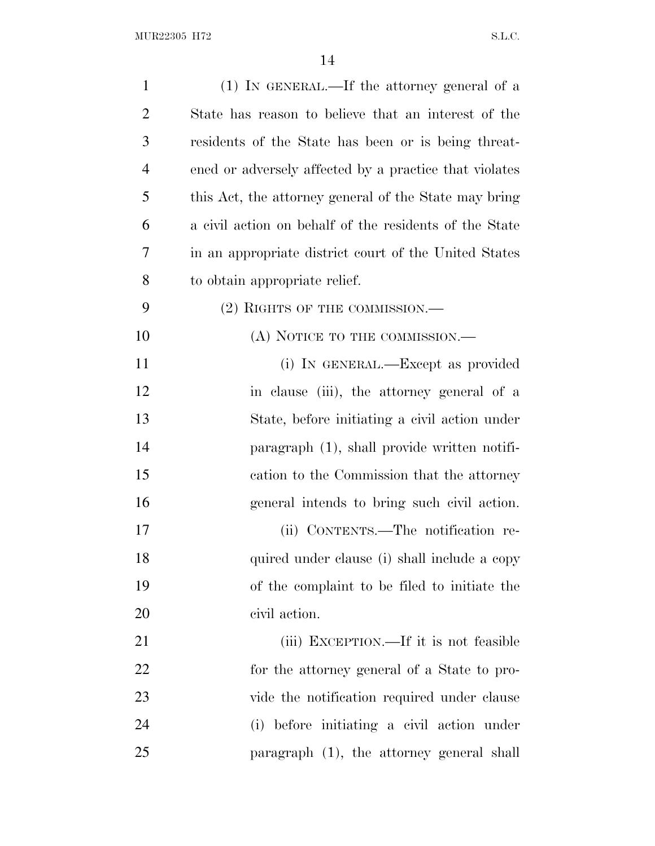| $\mathbf{1}$   | (1) IN GENERAL.—If the attorney general of a           |
|----------------|--------------------------------------------------------|
| $\overline{2}$ | State has reason to believe that an interest of the    |
| 3              | residents of the State has been or is being threat-    |
| $\overline{4}$ | ened or adversely affected by a practice that violates |
| 5              | this Act, the attorney general of the State may bring  |
| 6              | a civil action on behalf of the residents of the State |
| 7              | in an appropriate district court of the United States  |
| 8              | to obtain appropriate relief.                          |
| 9              | $(2)$ RIGHTS OF THE COMMISSION.—                       |
| 10             | (A) NOTICE TO THE COMMISSION.—                         |
| 11             | (i) IN GENERAL.—Except as provided                     |
| 12             | in clause (iii), the attorney general of a             |
| 13             | State, before initiating a civil action under          |
| 14             | paragraph (1), shall provide written notifi-           |
| 15             | cation to the Commission that the attorney             |
| 16             | general intends to bring such civil action.            |
| 17             | (ii) CONTENTS.—The notification re-                    |
| 18             | quired under clause (i) shall include a copy           |
| 19             | of the complaint to be filed to initiate the           |
| 20             | civil action.                                          |
| 21             | (iii) EXCEPTION.—If it is not feasible                 |
| 22             | for the attorney general of a State to pro-            |
| 23             | vide the notification required under clause            |
| 24             | (i) before initiating a civil action under             |
| 25             | paragraph (1), the attorney general shall              |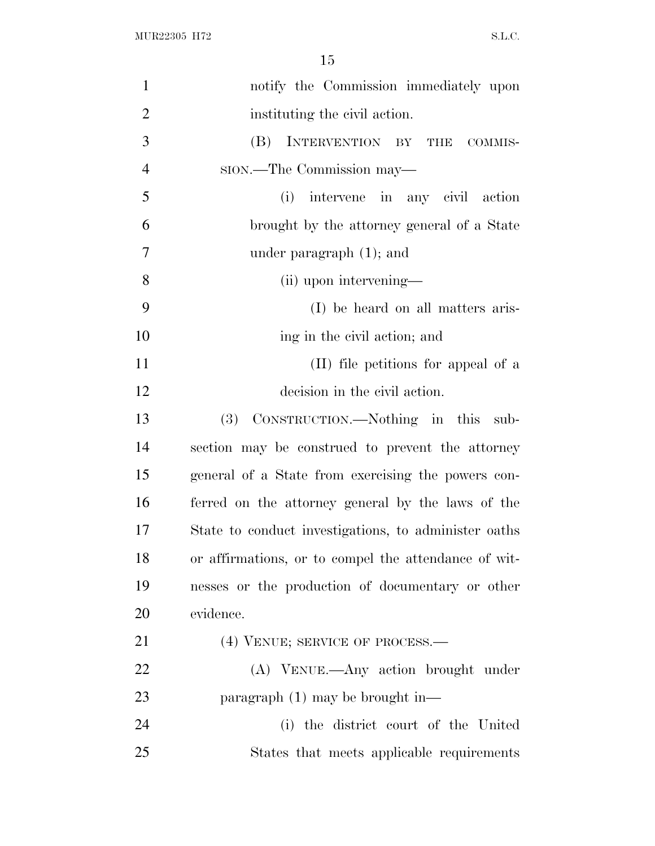| $\mathbf{1}$   | notify the Commission immediately upon               |
|----------------|------------------------------------------------------|
| $\overline{2}$ | instituting the civil action.                        |
| 3              | INTERVENTION BY THE COMMIS-<br>(B)                   |
| $\overline{4}$ | sion.—The Commission may—                            |
| 5              | (i) intervene in any civil action                    |
| 6              | brought by the attorney general of a State           |
| 7              | under paragraph $(1)$ ; and                          |
| 8              | (ii) upon intervening—                               |
| 9              | (I) be heard on all matters aris-                    |
| 10             | ing in the civil action; and                         |
| 11             | (II) file petitions for appeal of a                  |
| 12             | decision in the civil action.                        |
| 13             | (3) CONSTRUCTION.—Nothing in this sub-               |
| 14             | section may be construed to prevent the attorney     |
| 15             | general of a State from exercising the powers con-   |
| 16             | ferred on the attorney general by the laws of the    |
| 17             | State to conduct investigations, to administer oaths |
| 18             | or affirmations, or to compel the attendance of wit- |
| 19             | nesses or the production of documentary or other     |
| 20             | evidence.                                            |
| 21             | (4) VENUE; SERVICE OF PROCESS.—                      |
| 22             | (A) VENUE.—Any action brought under                  |
| 23             | paragraph $(1)$ may be brought in—                   |
| 24             | (i) the district court of the United                 |
| 25             | States that meets applicable requirements            |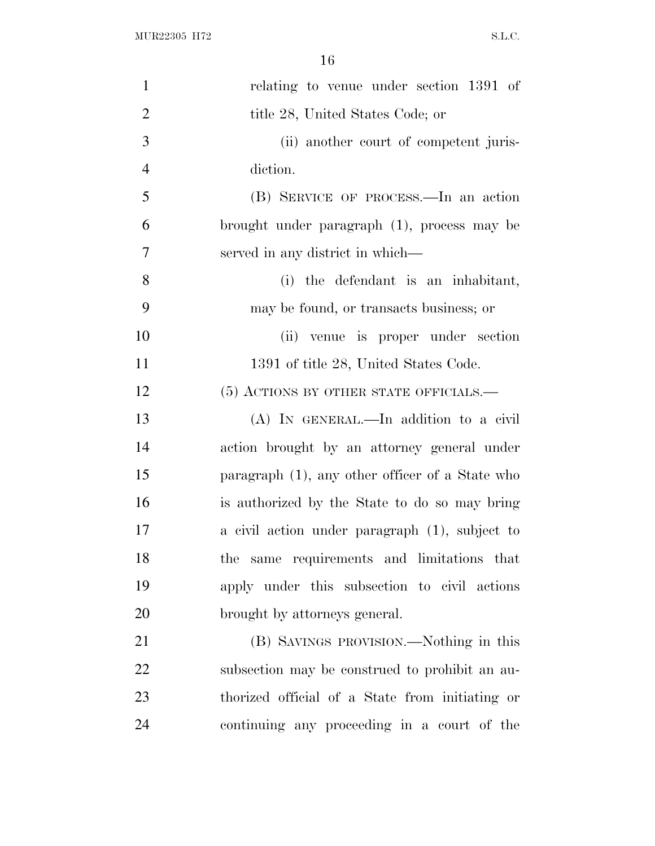| $\mathbf{1}$   | relating to venue under section 1391 of         |
|----------------|-------------------------------------------------|
| $\overline{2}$ | title 28, United States Code; or                |
| 3              | (ii) another court of competent juris-          |
| $\overline{4}$ | diction.                                        |
| 5              | (B) SERVICE OF PROCESS.—In an action            |
| 6              | brought under paragraph (1), process may be     |
| 7              | served in any district in which—                |
| 8              | (i) the defendant is an inhabitant,             |
| 9              | may be found, or transacts business; or         |
| 10             | (ii) venue is proper under section              |
| 11             | 1391 of title 28, United States Code.           |
| 12             | (5) ACTIONS BY OTHER STATE OFFICIALS.—          |
| 13             | (A) IN GENERAL.—In addition to a civil          |
| 14             | action brought by an attorney general under     |
| 15             | paragraph (1), any other officer of a State who |
| 16             | is authorized by the State to do so may bring   |
| 17             | a civil action under paragraph (1), subject to  |
| 18             | the same requirements and limitations that      |
| 19             | apply under this subsection to civil actions    |
| 20             | brought by attorneys general.                   |
| 21             | (B) SAVINGS PROVISION.—Nothing in this          |
| 22             | subsection may be construed to prohibit an au-  |
| 23             | thorized official of a State from initiating or |
| 24             | continuing any proceeding in a court of the     |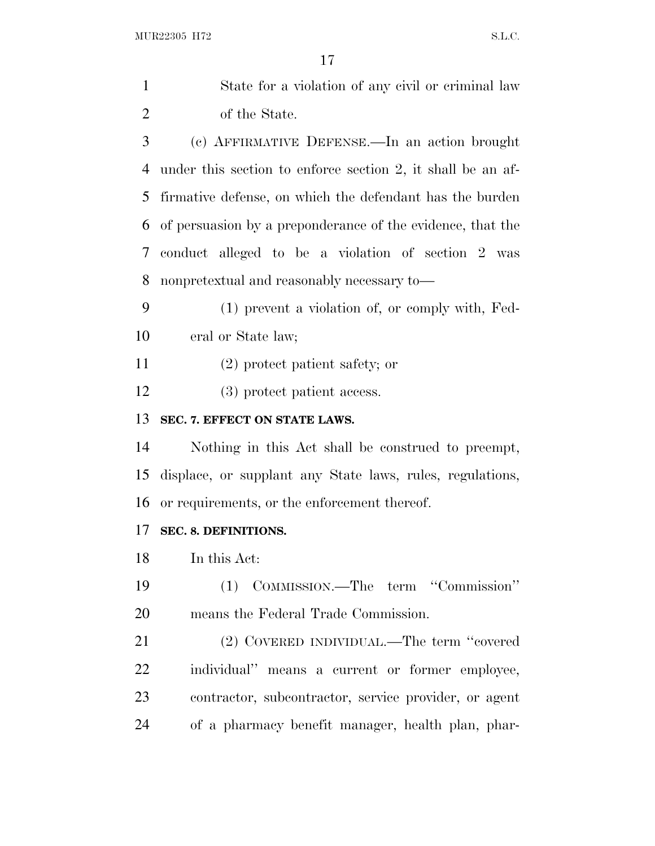| $\mathbf{1}$   | State for a violation of any civil or criminal law          |  |
|----------------|-------------------------------------------------------------|--|
| $\overline{2}$ | of the State.                                               |  |
| 3              | (c) AFFIRMATIVE DEFENSE.—In an action brought               |  |
| 4              | under this section to enforce section 2, it shall be an af- |  |
| 5              | firmative defense, on which the defendant has the burden    |  |
| 6              | of persuasion by a preponderance of the evidence, that the  |  |
| 7              | conduct alleged to be a violation of section 2 was          |  |
| 8              | nonpretextual and reasonably necessary to—                  |  |
| 9              | (1) prevent a violation of, or comply with, Fed-            |  |
| 10             | eral or State law;                                          |  |
| 11             | $(2)$ protect patient safety; or                            |  |
| 12             | (3) protect patient access.                                 |  |
| 13             | SEC. 7. EFFECT ON STATE LAWS.                               |  |
| 14             | Nothing in this Act shall be construed to preempt,          |  |
| 15             | displace, or supplant any State laws, rules, regulations,   |  |
| 16             | or requirements, or the enforcement thereof.                |  |
| 17             | SEC. 8. DEFINITIONS.                                        |  |
| 18             | In this Act:                                                |  |
| 19             | (1) COMMISSION.—The term "Commission"                       |  |
| 20             | means the Federal Trade Commission.                         |  |
| 21             | (2) COVERED INDIVIDUAL.—The term "covered                   |  |
| 22             | individual" means a current or former employee,             |  |
| 23             | contractor, subcontractor, service provider, or agent       |  |
| 24             | of a pharmacy benefit manager, health plan, phar-           |  |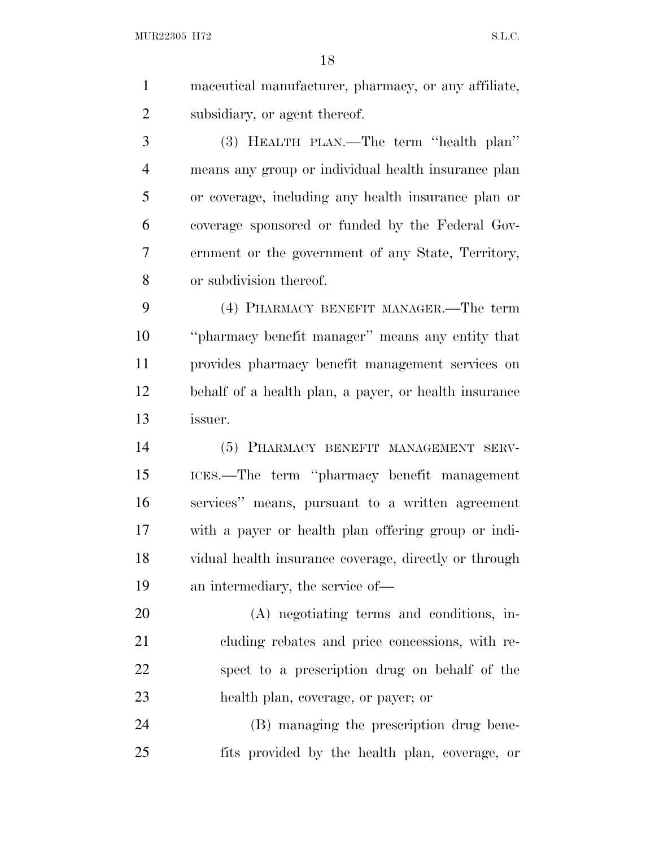MUR22305 H72 S.L.C.

 maceutical manufacturer, pharmacy, or any affiliate, subsidiary, or agent thereof.

 (3) HEALTH PLAN.—The term ''health plan'' means any group or individual health insurance plan or coverage, including any health insurance plan or coverage sponsored or funded by the Federal Gov- ernment or the government of any State, Territory, or subdivision thereof.

 (4) PHARMACY BENEFIT MANAGER.—The term ''pharmacy benefit manager'' means any entity that provides pharmacy benefit management services on behalf of a health plan, a payer, or health insurance issuer.

 (5) PHARMACY BENEFIT MANAGEMENT SERV- ICES.—The term ''pharmacy benefit management services'' means, pursuant to a written agreement with a payer or health plan offering group or indi- vidual health insurance coverage, directly or through an intermediary, the service of—

 (A) negotiating terms and conditions, in- cluding rebates and price concessions, with re- spect to a prescription drug on behalf of the health plan, coverage, or payer; or

 (B) managing the prescription drug bene-fits provided by the health plan, coverage, or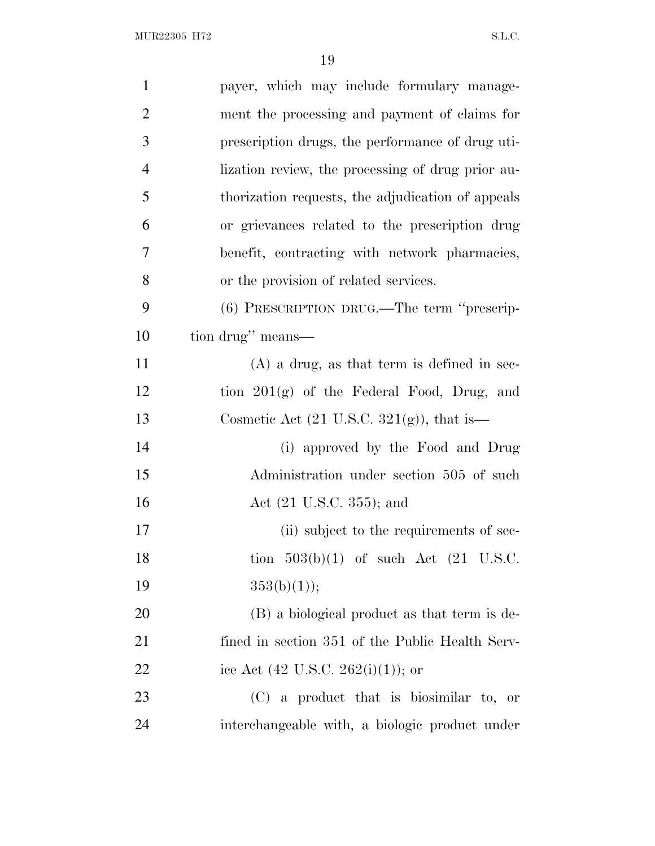| $\mathbf{1}$   | payer, which may include formulary manage-            |
|----------------|-------------------------------------------------------|
| $\overline{2}$ | ment the processing and payment of claims for         |
| 3              | prescription drugs, the performance of drug uti-      |
| $\overline{4}$ | lization review, the processing of drug prior au-     |
| 5              | thorization requests, the adjudication of appeals     |
| 6              | or grievances related to the prescription drug        |
| 7              | benefit, contracting with network pharmacies,         |
| 8              | or the provision of related services.                 |
| 9              | (6) PRESCRIPTION DRUG.—The term "prescrip-            |
| 10             | tion drug" means—                                     |
| 11             | $(A)$ a drug, as that term is defined in sec-         |
| 12             | tion $201(g)$ of the Federal Food, Drug, and          |
| 13             | Cosmetic Act $(21 \text{ U.S.C. } 321(g))$ , that is— |
| 14             | (i) approved by the Food and Drug                     |
| 15             | Administration under section 505 of such              |
| 16             | Act $(21 \text{ U.S.C. } 355)$ ; and                  |
| 17             | (ii) subject to the requirements of sec-              |
| 18             | tion $503(b)(1)$ of such Act $(21 \text{ U.S.C.})$    |
| 19             | 353(b)(1));                                           |
| 20             | (B) a biological product as that term is de-          |
| 21             | fined in section 351 of the Public Health Serv-       |
| 22             | ice Act $(42 \text{ U.S.C. } 262(i)(1));$ or          |
| 23             | $(C)$ a product that is biosimilar to, or             |
| 24             | interchangeable with, a biologic product under        |